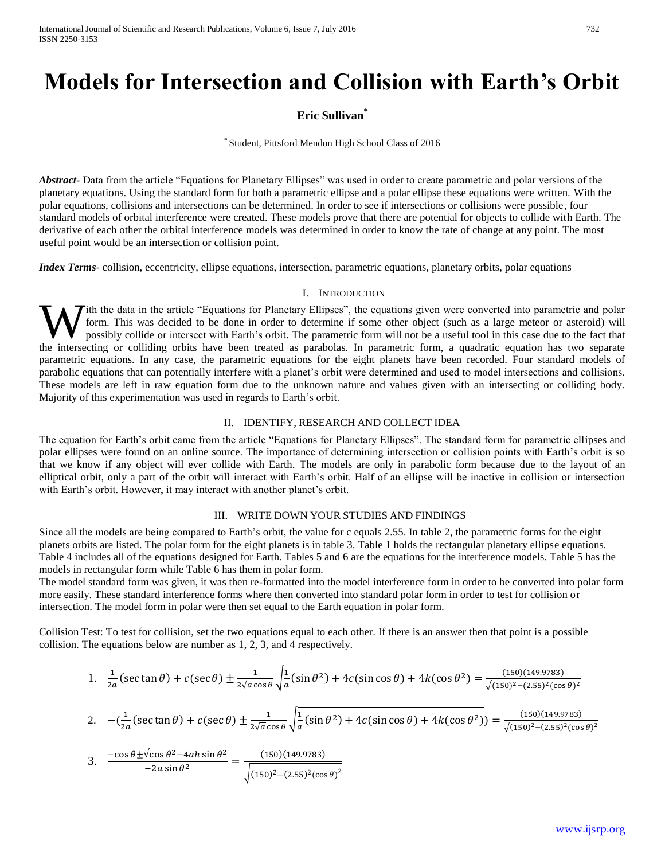# **Models for Intersection and Collision with Earth's Orbit**

# **Eric Sullivan\***

\* Student, Pittsford Mendon High School Class of 2016

*Abstract***-** Data from the article "Equations for Planetary Ellipses" was used in order to create parametric and polar versions of the planetary equations. Using the standard form for both a parametric ellipse and a polar ellipse these equations were written. With the polar equations, collisions and intersections can be determined. In order to see if intersections or collisions were possible, four standard models of orbital interference were created. These models prove that there are potential for objects to collide with Earth. The derivative of each other the orbital interference models was determined in order to know the rate of change at any point. The most useful point would be an intersection or collision point.

*Index Terms*- collision, eccentricity, ellipse equations, intersection, parametric equations, planetary orbits, polar equations

### I. INTRODUCTION

Tith the data in the article "Equations for Planetary Ellipses", the equations given were converted into parametric and polar form. This was decided to be done in order to determine if some other object (such as a large meteor or asteroid) will possibly collide or intersect with Earth's orbit. The parametric form will not be a useful tool in this case due to the fact that W ith the data in the article "Equations for Planetary Ellipses", the equations given were converted into parametric and polar form. This was decided to be done in order to determine if some other object (such as a large m parametric equations. In any case, the parametric equations for the eight planets have been recorded. Four standard models of parabolic equations that can potentially interfere with a planet's orbit were determined and used to model intersections and collisions. These models are left in raw equation form due to the unknown nature and values given with an intersecting or colliding body. Majority of this experimentation was used in regards to Earth's orbit.

## II. IDENTIFY, RESEARCH AND COLLECT IDEA

The equation for Earth's orbit came from the article "Equations for Planetary Ellipses". The standard form for parametric ellipses and polar ellipses were found on an online source. The importance of determining intersection or collision points with Earth's orbit is so that we know if any object will ever collide with Earth. The models are only in parabolic form because due to the layout of an elliptical orbit, only a part of the orbit will interact with Earth's orbit. Half of an ellipse will be inactive in collision or intersection with Earth's orbit. However, it may interact with another planet's orbit.

## III. WRITE DOWN YOUR STUDIES AND FINDINGS

Since all the models are being compared to Earth's orbit, the value for c equals 2.55. In table 2, the parametric forms for the eight planets orbits are listed. The polar form for the eight planets is in table 3. Table 1 holds the rectangular planetary ellipse equations. Table 4 includes all of the equations designed for Earth. Tables 5 and 6 are the equations for the interference models. Table 5 has the models in rectangular form while Table 6 has them in polar form.

The model standard form was given, it was then re-formatted into the model interference form in order to be converted into polar form more easily. These standard interference forms where then converted into standard polar form in order to test for collision or intersection. The model form in polar were then set equal to the Earth equation in polar form.

Collision Test: To test for collision, set the two equations equal to each other. If there is an answer then that point is a possible collision. The equations below are number as 1, 2, 3, and 4 respectively.

 $\sqrt{(150)^2-(2.55)^2(\cos\theta)^2}$ 

1. 
$$
\frac{1}{2a}(\sec \tan \theta) + c(\sec \theta) \pm \frac{1}{2\sqrt{a}\cos \theta} \sqrt{\frac{1}{a}(\sin \theta^2) + 4c(\sin \cos \theta) + 4k(\cos \theta^2)} = \frac{(150)(149.9783)}{\sqrt{(150)^2 - (2.55)^2(\cos \theta)^2}}
$$
  
\n2. 
$$
-(\frac{1}{2a}(\sec \tan \theta) + c(\sec \theta) \pm \frac{1}{2\sqrt{a}\cos \theta} \sqrt{\frac{1}{a}(\sin \theta^2) + 4c(\sin \cos \theta) + 4k(\cos \theta^2)} = \frac{(150)(149.9783)}{\sqrt{(150)^2 - (2.55)^2(\cos \theta)^2}}
$$
  
\n3. 
$$
\frac{-\cos \theta \pm \sqrt{\cos \theta^2 - 4ah\sin \theta^2}}{-2a\sin \theta^2} = \frac{(150)(149.9783)}{\sqrt{2a\cos \theta^2 - 4ah\sin \theta^2}}
$$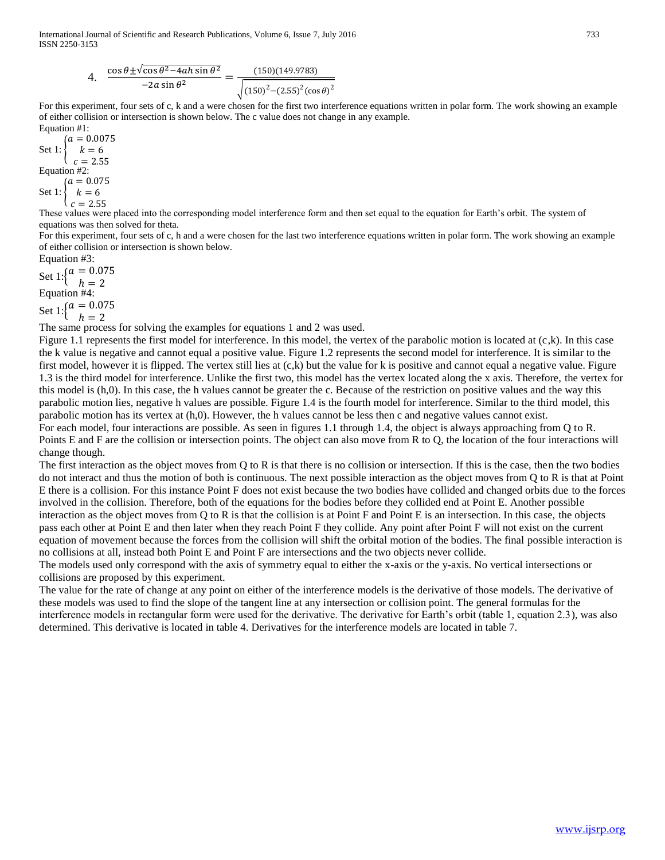4. 
$$
\frac{\cos \theta \pm \sqrt{\cos \theta^2 - 4ah \sin \theta^2}}{-2a \sin \theta^2} = \frac{(150)(149.9783)}{\sqrt{(150)^2 - (2.55)^2 (\cos \theta)^2}}
$$

For this experiment, four sets of c, k and a were chosen for the first two interference equations written in polar form. The work showing an example of either collision or intersection is shown below. The c value does not change in any example. Equation #1:

Set 1:  $\{ k = 6$  $(a = 0.0075)$  $c = 2.55$ Equation #2: Set 1:  $(a = 0.075)$  $\begin{cases} k = 6 \end{cases}$  $(c = 2.55)$ 

These values were placed into the corresponding model interference form and then set equal to the equation for Earth's orbit. The system of equations was then solved for theta.

For this experiment, four sets of c, h and a were chosen for the last two interference equations written in polar form. The work showing an example of either collision or intersection is shown below.

Equation #3:

Set 1:  $\begin{cases} a = 0.075 \\ b = 2 \end{cases}$  $h = 2$ Equation #4:

Set 1:  $\left\{ \begin{array}{l} a = 0.075 \\ b = 0.075 \end{array} \right\}$ 

 $h = 2$ 

The same process for solving the examples for equations 1 and 2 was used.

Figure 1.1 represents the first model for interference. In this model, the vertex of the parabolic motion is located at  $(c, k)$ . In this case the k value is negative and cannot equal a positive value. Figure 1.2 represents the second model for interference. It is similar to the first model, however it is flipped. The vertex still lies at  $(c, k)$  but the value for k is positive and cannot equal a negative value. Figure 1.3 is the third model for interference. Unlike the first two, this model has the vertex located along the x axis. Therefore, the vertex for this model is (h,0). In this case, the h values cannot be greater the c. Because of the restriction on positive values and the way this parabolic motion lies, negative h values are possible. Figure 1.4 is the fourth model for interference. Similar to the third model, this parabolic motion has its vertex at (h,0). However, the h values cannot be less then c and negative values cannot exist.

For each model, four interactions are possible. As seen in figures 1.1 through 1.4, the object is always approaching from Q to R. Points E and F are the collision or intersection points. The object can also move from R to Q, the location of the four interactions will change though.

The first interaction as the object moves from Q to R is that there is no collision or intersection. If this is the case, then the two bodies do not interact and thus the motion of both is continuous. The next possible interaction as the object moves from Q to R is that at Point E there is a collision. For this instance Point F does not exist because the two bodies have collided and changed orbits due to the forces involved in the collision. Therefore, both of the equations for the bodies before they collided end at Point E. Another possible interaction as the object moves from Q to R is that the collision is at Point F and Point E is an intersection. In this case, the objects pass each other at Point E and then later when they reach Point F they collide. Any point after Point F will not exist on the current equation of movement because the forces from the collision will shift the orbital motion of the bodies. The final possible interaction is no collisions at all, instead both Point E and Point F are intersections and the two objects never collide.

The models used only correspond with the axis of symmetry equal to either the x-axis or the y-axis. No vertical intersections or collisions are proposed by this experiment.

The value for the rate of change at any point on either of the interference models is the derivative of those models. The derivative of these models was used to find the slope of the tangent line at any intersection or collision point. The general formulas for the interference models in rectangular form were used for the derivative. The derivative for Earth's orbit (table 1, equation 2.3), was also determined. This derivative is located in table 4. Derivatives for the interference models are located in table 7.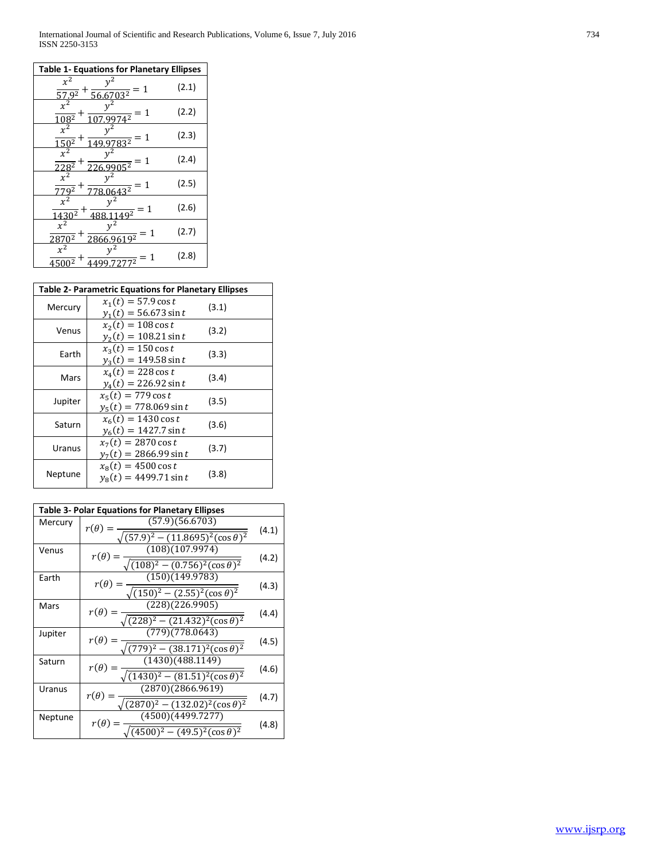| <b>Table 1- Equations for Planetary Ellipses</b>                           |       |  |
|----------------------------------------------------------------------------|-------|--|
| $x^2$<br>$\frac{1}{56.6703^2} = 1$<br>$57.9^{2}$                           | (2.1) |  |
| $x^2$<br>$\sqrt{4^2} = 1$<br>$10\overline{8^2}$                            | (2.2) |  |
| $x^2$<br>$\frac{1}{283^2} = 1$<br>$150^{2}$                                | (2.3) |  |
| $\mathbf{x}$<br>$\frac{905^2}{ } = 1$<br>$228^{2}$                         | (2.4) |  |
| $x^2$<br>$\frac{1}{778.0643^2} = 1$<br>$779^2$                             | (2.5) |  |
| $\mathbf{x}$<br>$\frac{49^2}{ } = 1$<br>$\overline{1}$<br>$430^{2}$<br>488 | (2.6) |  |
| $x^2$<br>$v^2$<br>$\frac{9619^2}{9619^2} = 1$<br>2<br>2866                 | (2.7) |  |
| $=1$<br>$\overline{2}$                                                     | (2.8) |  |

| <b>Table 2- Parametric Equations for Planetary Ellipses</b> |                                                       |       |
|-------------------------------------------------------------|-------------------------------------------------------|-------|
| Mercury                                                     | $x_1(t) = 57.9 \cos t$<br>$y_1(t) = 56.673 \sin t$    | (3.1) |
| Venus                                                       | $x_2(t) = 108 \cos t$<br>$y_2(t) = 108.21 \sin t$     | (3.2) |
| Earth                                                       | $x_3(t) = 150 \cos t$<br>$y_3(t) = 149.58 \sin t$     | (3.3) |
| Mars                                                        | $x_4(t) = 228 \cos t$<br>$y_4(t) = 226.92 \sin t$     | (3.4) |
| Jupiter                                                     | $x_5(t) = 779 \cos t$<br>$y_5(t) = 778.069 \sin t$    | (3.5) |
| Saturn                                                      | $x_6(t) = 1430 \cos t$<br>$y_6(t) = 1427.7 \sin t$    | (3.6) |
| Uranus                                                      | $x_7(t) = 2870 \cos t$<br>$y_7(t) = 2866.99 \sin t$   | (3.7) |
| Neptune                                                     | $x_{8}(t) = 4500 \cos t$<br>$v_s(t) = 4499.71 \sin t$ | (3.8) |

| <b>Table 3- Polar Equations for Planetary Ellipses</b> |                                               |       |
|--------------------------------------------------------|-----------------------------------------------|-------|
| Mercury                                                | (57.9)(56.6703)<br>$r(\theta) =$              |       |
|                                                        | $\sqrt{(57.9)^2-(11.8695)^2(\cos\theta)^2}$   | (4.1) |
| Venus                                                  | (108)(107.9974)<br>$r(\theta) =$              |       |
|                                                        | $(108)^2 - (0.756)^2(\cos\theta)^2$           | (4.2) |
| Earth                                                  | (150)(149.9783)<br>$r(\theta)$ :              |       |
|                                                        | $\sqrt{(150)^2 - (2.55)^2(\cos \theta)^2}$    | (4.3) |
| Mars                                                   | (228)(226.9905)<br>$r(\theta) =$              |       |
|                                                        | $\sqrt{(228)^2-(21.432)^2(\cos\theta)^2}$     | (4.4) |
| Jupiter                                                | (779)(778.0643)<br>$r(\theta) =$              |       |
|                                                        | $\sqrt{(779)^2 - (38.171)^2(\cos \theta)^2}$  | (4.5) |
| Saturn                                                 | (1430)(488.1149)<br>$r(\theta) =$             | (4.6) |
|                                                        | $(1430)^2 - (81.51)^2(\cos \theta)^2$         |       |
| Uranus                                                 | (2870)(2866.9619)<br>$r(\theta) =$            |       |
|                                                        | $(2870)^2 - (132.02)^2(\cos \theta)^2$        | (4.7) |
| Neptune                                                | $(4500)(4\overline{499.7277})$<br>$r(\theta)$ |       |
|                                                        | $(4500)^2 - (49.5)^2(\cos \theta)^2$          | (4.8) |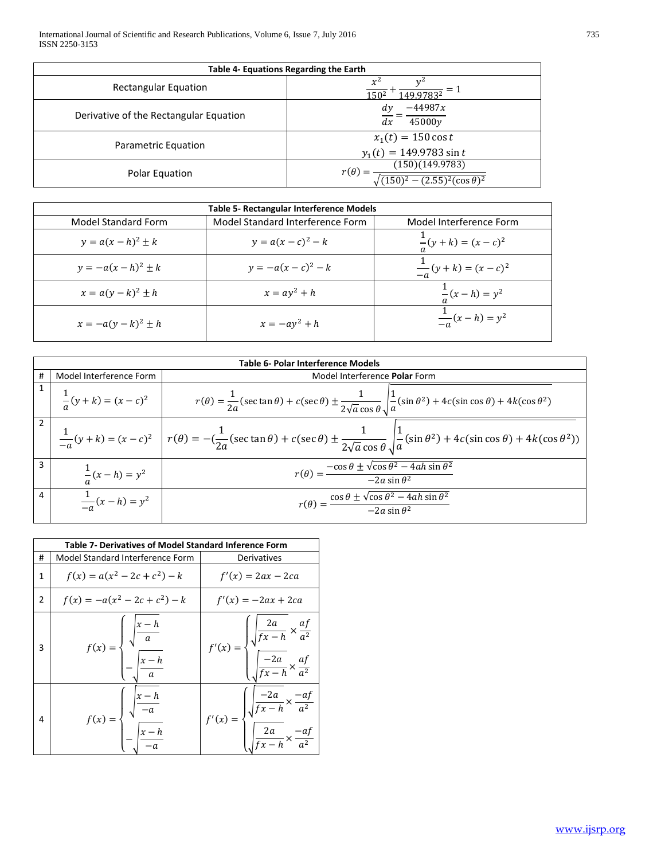| Table 4- Equations Regarding the Earth |                                                     |  |
|----------------------------------------|-----------------------------------------------------|--|
| <b>Rectangular Equation</b>            | $x^2$<br>1502<br>49 97832                           |  |
| Derivative of the Rectangular Equation | $-44987x$<br>dy<br>45000y<br>dx                     |  |
| Parametric Equation                    | $x_1(t) = 150 \cos t$<br>$y_1(t) = 149.9783 \sin t$ |  |
| Polar Equation                         | (150)(149.9783)<br>$r(\theta)$<br>$(\cos \theta)^2$ |  |

| Table 5- Rectangular Interference Models |                                  |                               |
|------------------------------------------|----------------------------------|-------------------------------|
| <b>Model Standard Form</b>               | Model Standard Interference Form | Model Interference Form       |
| $y = a(x - h)^2 \pm k$                   | $y = a(x - c)^2 - k$             | $\frac{1}{a}(y+k) = (x-c)^2$  |
| $y = -a(x - h)^2 \pm k$                  | $y = -a(x - c)^2 - k$            | $\frac{1}{-a}(y+k) = (x-c)^2$ |
| $x = a(y-k)^2 \pm h$                     | $x = ay^2 + h$                   | $\frac{1}{a}(x-h) = y^2$      |
| $x = -a(y - k)^2 \pm h$                  | $x = -ay^2 + h$                  | $\frac{1}{-a}(x-h) = y^2$     |

|   | Table 6- Polar Interference Models |                                                                                                                                                                                                                           |  |  |
|---|------------------------------------|---------------------------------------------------------------------------------------------------------------------------------------------------------------------------------------------------------------------------|--|--|
| # | Model Interference Form            | Model Interference Polar Form                                                                                                                                                                                             |  |  |
|   | $\frac{1}{a}(y+k) = (x-c)^2$       | $r(\theta) = \frac{1}{2a}(\sec \tan \theta) + c(\sec \theta) \pm \frac{1}{2\sqrt{a}\cos \theta} \sqrt{\frac{1}{a}(\sin \theta^2) + 4c(\sin \cos \theta) + 4k(\cos \theta^2)}$                                             |  |  |
|   |                                    | $\frac{1}{-a}(y+k)=(x-c)^2 \left  r(\theta) = -(\frac{1}{2a}(\sec \tan \theta) + c(\sec \theta) \pm \frac{1}{2\sqrt{a}\cos \theta} \sqrt{\frac{1}{a}(\sin \theta^2) + 4c(\sin \cos \theta) + 4k(\cos \theta^2))} \right $ |  |  |
| 3 | $\frac{1}{a}(x-h) = y^2$           | $r(\theta) = \frac{-\cos\theta \pm \sqrt{\cos\theta^2 - 4ah\sin\theta^2}}{-2a\sin\theta^2}$                                                                                                                               |  |  |
| 4 | $\frac{1}{-q}(x-h) = y^2$          | $r(\theta) = \frac{\cos \theta \pm \sqrt{\cos \theta^2 - 4ah \sin \theta^2}}{-2a \sin \theta^2}$                                                                                                                          |  |  |

| Table 7- Derivatives of Model Standard Inference Form |                                                                                    |                                                                                                                                         |
|-------------------------------------------------------|------------------------------------------------------------------------------------|-----------------------------------------------------------------------------------------------------------------------------------------|
| #                                                     | Model Standard Interference Form                                                   | Derivatives                                                                                                                             |
| $\mathbf{1}$                                          | $f(x) = a(x^2 - 2c + c^2) - k$                                                     | $f'(x) = 2ax - 2ca$                                                                                                                     |
| 2                                                     | $f(x) = -a(x^2 - 2c + c^2) - k$                                                    | $f'(x) = -2ax + 2ca$                                                                                                                    |
| 3                                                     | $f(x) = \begin{cases} \sqrt{\frac{x-h}{a}} \\ -\sqrt{\frac{x-h}{a}} \end{cases}$   | $f'(x) = \begin{cases} \sqrt{\frac{2a}{fx - h}} \times \frac{af}{a^2} \\ \sqrt{\frac{-2a}{fx - h}} \times \frac{af}{a^2} \end{cases}$   |
| 4                                                     | $f(x) = \begin{cases} \sqrt{\frac{x-h}{-a}} \\ -\sqrt{\frac{x-h}{-a}} \end{cases}$ | $f'(x) = \begin{cases} \sqrt{\frac{-2a}{fx - h}} \times \frac{-af}{a^2} \\ \sqrt{\frac{2a}{fx - h}} \times \frac{-af}{a^2} \end{cases}$ |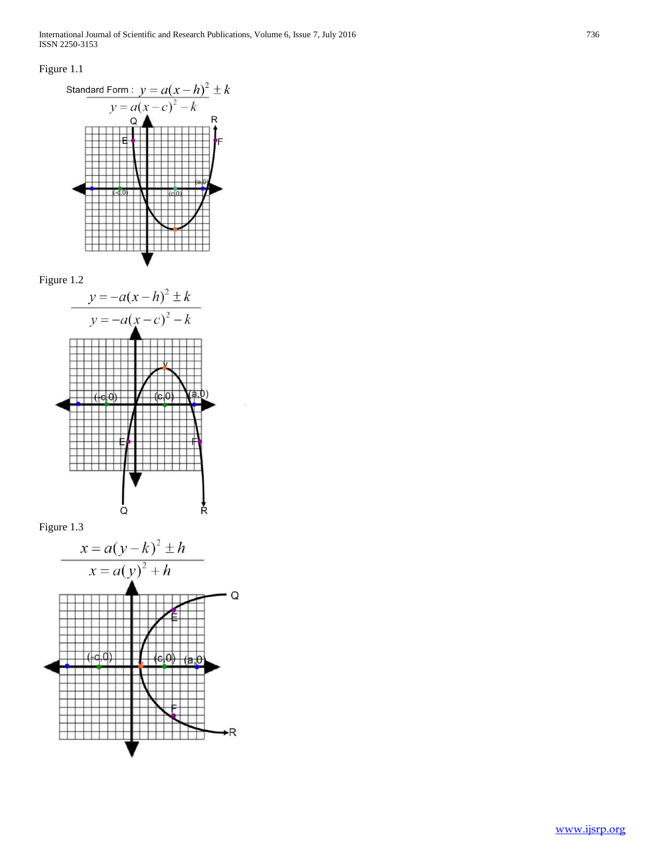International Journal of Scientific and Research Publications, Volume 6, Issue 7, July 2016 736 ISSN 2250-3153

# Figure 1.1